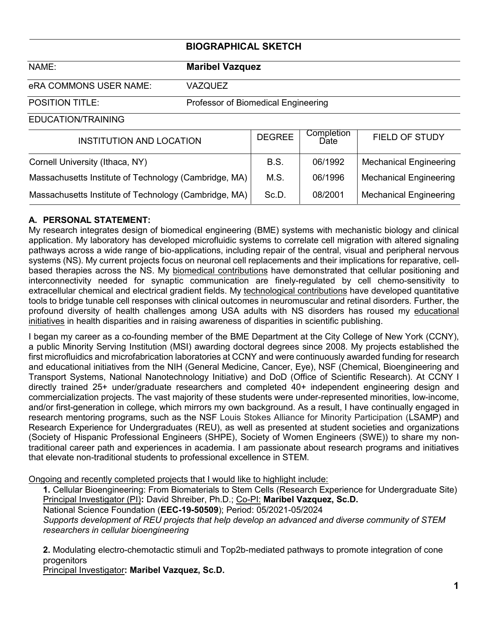### **BIOGRAPHICAL SKETCH**

NAME: **Maribel Vazquez**

eRA COMMONS USER NAME: VAZQUEZ

POSITION TITLE: Professor of Biomedical Engineering

EDUCATION/TRAINING

| <b>INSTITUTION AND LOCATION</b>                       | <b>DEGREE</b> | Completion<br>Date | FIELD OF STUDY                |
|-------------------------------------------------------|---------------|--------------------|-------------------------------|
| Cornell University (Ithaca, NY)                       | <b>B.S.</b>   | 06/1992            | <b>Mechanical Engineering</b> |
| Massachusetts Institute of Technology (Cambridge, MA) | M.S.          | 06/1996            | <b>Mechanical Engineering</b> |
| Massachusetts Institute of Technology (Cambridge, MA) | Sc.D.         | 08/2001            | <b>Mechanical Engineering</b> |

### **A. PERSONAL STATEMENT:**

My research integrates design of biomedical engineering (BME) systems with mechanistic biology and clinical application. My laboratory has developed microfluidic systems to correlate cell migration with altered signaling pathways across a wide range of bio-applications, including repair of the central, visual and peripheral nervous systems (NS). My current projects focus on neuronal cell replacements and their implications for reparative, cellbased therapies across the NS. My biomedical contributions have demonstrated that cellular positioning and interconnectivity needed for synaptic communication are finely-regulated by cell chemo-sensitivity to extracellular chemical and electrical gradient fields. My technological contributions have developed quantitative tools to bridge tunable cell responses with clinical outcomes in neuromuscular and retinal disorders. Further, the profound diversity of health challenges among USA adults with NS disorders has roused my educational initiatives in health disparities and in raising awareness of disparities in scientific publishing.

I began my career as a co-founding member of the BME Department at the City College of New York (CCNY), a public Minority Serving Institution (MSI) awarding doctoral degrees since 2008. My projects established the first microfluidics and microfabrication laboratories at CCNY and were continuously awarded funding for research and educational initiatives from the NIH (General Medicine, Cancer, Eye), NSF (Chemical, Bioengineering and Transport Systems, National Nanotechnology Initiative) and DoD (Office of Scientific Research). At CCNY I directly trained 25+ under/graduate researchers and completed 40+ independent engineering design and commercialization projects. The vast majority of these students were under-represented minorities, low-income, and/or first-generation in college, which mirrors my own background. As a result, I have continually engaged in research mentoring programs, such as the NSF Louis Stokes Alliance for Minority Participation (LSAMP) and Research Experience for Undergraduates (REU), as well as presented at student societies and organizations (Society of Hispanic Professional Engineers (SHPE), Society of Women Engineers (SWE)) to share my nontraditional career path and experiences in academia. I am passionate about research programs and initiatives that elevate non-traditional students to professional excellence in STEM.

Ongoing and recently completed projects that I would like to highlight include:

**1.** Cellular Bioengineering: From Biomaterials to Stem Cells (Research Experience for Undergraduate Site) Principal Investigator (PI)**:** David Shreiber, Ph.D.; Co-PI: **Maribel Vazquez, Sc.D.**

National Science Foundation (**EEC-19-50509**); Period: 05/2021-05/2024

*Supports development of REU projects that help develop an advanced and diverse community of STEM researchers in cellular bioengineering* 

**2.** Modulating electro-chemotactic stimuli and Top2b-mediated pathways to promote integration of cone progenitors

Principal Investigator**: Maribel Vazquez, Sc.D.**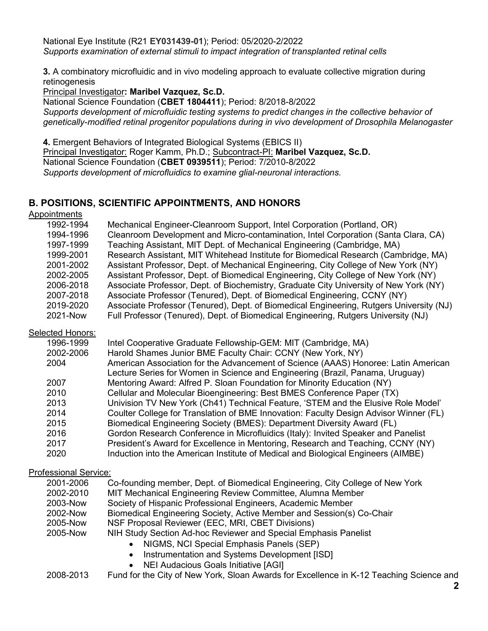National Eye Institute (R21 **EY031439-01**); Period: 05/2020-2/2022 *Supports examination of external stimuli to impact integration of transplanted retinal cells* 

**3.** A combinatory microfluidic and in vivo modeling approach to evaluate collective migration during retinogenesis

Principal Investigator**: Maribel Vazquez, Sc.D.**

National Science Foundation (**CBET 1804411**); Period: 8/2018-8/2022 *Supports development of microfluidic testing systems to predict changes in the collective behavior of genetically-modified retinal progenitor populations during in vivo development of Drosophila Melanogaster*

**4.** Emergent Behaviors of Integrated Biological Systems (EBICS II) Principal Investigator: Roger Kamm, Ph.D.; Subcontract-PI: **Maribel Vazquez, Sc.D.** National Science Foundation (**CBET 0939511**); Period: 7/2010-8/2022 *Supports development of microfluidics to examine glial-neuronal interactions.*

# **B. POSITIONS, SCIENTIFIC APPOINTMENTS, AND HONORS**

Appointments

| 1992-1994 | Mechanical Engineer-Cleanroom Support, Intel Corporation (Portland, OR)                 |
|-----------|-----------------------------------------------------------------------------------------|
| 1994-1996 | Cleanroom Development and Micro-contamination, Intel Corporation (Santa Clara, CA)      |
| 1997-1999 | Teaching Assistant, MIT Dept. of Mechanical Engineering (Cambridge, MA)                 |
| 1999-2001 | Research Assistant, MIT Whitehead Institute for Biomedical Research (Cambridge, MA)     |
| 2001-2002 | Assistant Professor, Dept. of Mechanical Engineering, City College of New York (NY)     |
| 2002-2005 | Assistant Professor, Dept. of Biomedical Engineering, City College of New York (NY)     |
| 2006-2018 | Associate Professor, Dept. of Biochemistry, Graduate City University of New York (NY)   |
| 2007-2018 | Associate Professor (Tenured), Dept. of Biomedical Engineering, CCNY (NY)               |
| 2019-2020 | Associate Professor (Tenured), Dept. of Biomedical Engineering, Rutgers University (NJ) |
| 2021-Now  | Full Professor (Tenured), Dept. of Biomedical Engineering, Rutgers University (NJ)      |

#### **Selected Honors:**

| 1996-1999 | Intel Cooperative Graduate Fellowship-GEM: MIT (Cambridge, MA)                        |
|-----------|---------------------------------------------------------------------------------------|
| 2002-2006 | Harold Shames Junior BME Faculty Chair: CCNY (New York, NY)                           |
| 2004      | American Association for the Advancement of Science (AAAS) Honoree: Latin American    |
|           | Lecture Series for Women in Science and Engineering (Brazil, Panama, Uruguay)         |
| 2007      | Mentoring Award: Alfred P. Sloan Foundation for Minority Education (NY)               |
| 2010      | Cellular and Molecular Bioengineering: Best BMES Conference Paper (TX)                |
| 2013      | Univision TV New York (Ch41) Technical Feature, 'STEM and the Elusive Role Model'     |
| 2014      | Coulter College for Translation of BME Innovation: Faculty Design Advisor Winner (FL) |
| 2015      | Biomedical Engineering Society (BMES): Department Diversity Award (FL)                |
| 2016      | Gordon Research Conference in Microfluidics (Italy): Invited Speaker and Panelist     |
| 2017      | President's Award for Excellence in Mentoring, Research and Teaching, CCNY (NY)       |
| 2020      | Induction into the American Institute of Medical and Biological Engineers (AIMBE)     |

#### Professional Service:

| 2001-2006 | Co-founding member, Dept. of Biomedical Engineering, City College of New York |
|-----------|-------------------------------------------------------------------------------|
| 2002-2010 | MIT Mechanical Engineering Review Committee, Alumna Member                    |
| 2003-Now  | Society of Hispanic Professional Engineers, Academic Member                   |
| 2002-Now  | Biomedical Engineering Society, Active Member and Session(s) Co-Chair         |
| 2005-Now  | NSF Proposal Reviewer (EEC, MRI, CBET Divisions)                              |
| 2005-Now  | NIH Study Section Ad-hoc Reviewer and Special Emphasis Panelist               |
|           | NIGMS, NCI Special Emphasis Panels (SEP)                                      |
|           |                                                                               |

- Instrumentation and Systems Development [ISD]
	- NEI Audacious Goals Initiative [AGI]

2008-2013 Fund for the City of New York, Sloan Awards for Excellence in K-12 Teaching Science and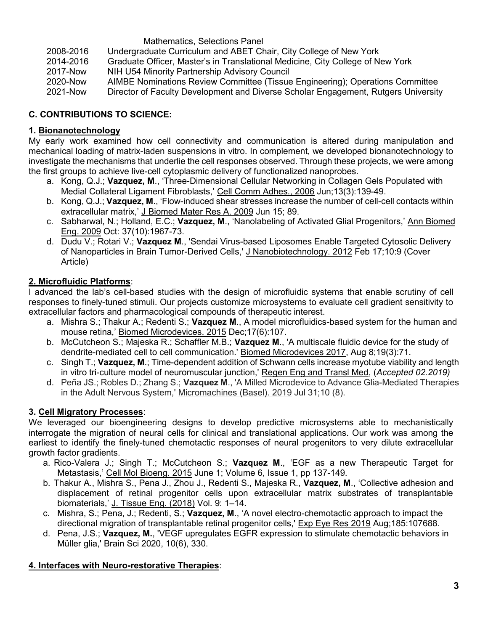#### Mathematics, Selections Panel 2008-2016 Undergraduate Curriculum and ABET Chair, City College of New York 2014-2016 Graduate Officer, Master's in Translational Medicine, City College of New York 2017-Now NIH U54 Minority Partnership Advisory Council 2020-Now AIMBE Nominations Review Committee (Tissue Engineering); Operations Committee 2021-Now Director of Faculty Development and Diverse Scholar Engagement, Rutgers University

# **C. CONTRIBUTIONS TO SCIENCE:**

# **1. Bionanotechnology**

My early work examined how cell connectivity and communication is altered during manipulation and mechanical loading of matrix-laden suspensions in vitro. In complement, we developed bionanotechnology to investigate the mechanisms that underlie the cell responses observed. Through these projects, we were among the first groups to achieve live-cell cytoplasmic delivery of functionalized nanoprobes.

- a. Kong, Q.J.; **Vazquez, M**., 'Three-Dimensional Cellular Networking in Collagen Gels Populated with Medial Collateral Ligament Fibroblasts,' Cell Comm Adhes., 2006 Jun;13(3):139-49.
- b. Kong, Q.J.; **Vazquez, M**., 'Flow-induced shear stresses increase the number of cell-cell contacts within extracellular matrix,' J Biomed Mater Res A. 2009 Jun 15; 89.
- c. Sabharwal, N.; Holland, E.C.; **Vazquez, M**., 'Nanolabeling of Activated Glial Progenitors,' Ann Biomed Eng. 2009 Oct: 37(10):1967-73.
- d. Dudu V.; Rotari V.; **Vazquez M**., 'Sendai Virus-based Liposomes Enable Targeted Cytosolic Delivery of Nanoparticles in Brain Tumor-Derived Cells,' J Nanobiotechnology. 2012 Feb 17;10:9 (Cover Article)

## **2. Microfluidic Platforms**:

I advanced the lab's cell-based studies with the design of microfluidic systems that enable scrutiny of cell responses to finely-tuned stimuli. Our projects customize microsystems to evaluate cell gradient sensitivity to extracellular factors and pharmacological compounds of therapeutic interest.

- a. Mishra S.; Thakur A.; Redenti S.; **Vazquez M**., A model microfluidics-based system for the human and mouse retina,' Biomed Microdevices. 2015 Dec;17(6):107.
- b. McCutcheon S.; Majeska R.; Schaffler M.B.; **Vazquez M**., 'A multiscale fluidic device for the study of dendrite-mediated cell to cell communication.' Biomed Microdevices 2017, Aug 8;19(3):71.
- c. Singh T.; **Vazquez, M**.; Time-dependent addition of Schwann cells increase myotube viability and length in vitro tri-culture model of neuromuscular junction,' Regen Eng and Transl Med, (*Accepted 02.2019)*
- d. Peña JS.; Robles D.; Zhang S.; **Vazquez M**., 'A Milled Microdevice to Advance Glia-Mediated Therapies in the Adult Nervous System,' Micromachines (Basel). 2019 Jul 31;10 (8).

# **3. Cell Migratory Processes**:

We leveraged our bioengineering designs to develop predictive microsystems able to mechanistically interrogate the migration of neural cells for clinical and translational applications. Our work was among the earliest to identify the finely-tuned chemotactic responses of neural progenitors to very dilute extracellular growth factor gradients.

- a. Rico-Valera J.; Singh T.; McCutcheon S.; **Vazquez M**., 'EGF as a new Therapeutic Target for Metastasis,' Cell Mol Bioeng. 2015 June 1; [Volume 6, Issue 1, pp 137-149.](http://link.springer.com/journal/12195/5/2/page/1)
- b. Thakur A., Mishra S., Pena J., Zhou J., Redenti S., Majeska R., **Vazquez, M**., 'Collective adhesion and displacement of retinal progenitor cells upon extracellular matrix substrates of transplantable biomaterials,' J. Tissue Eng. (2018) Vol. 9: 1–14.
- c. Mishra, S.; Pena, J.; Redenti, S.; **Vazquez, M**., 'A novel electro-chemotactic approach to impact the directional migration of transplantable retinal progenitor cells,' Exp Eye Res 2019 Aug;185:107688.
- d. Pena, J.S.; **Vazquez, M.**, 'VEGF upregulates EGFR expression to stimulate chemotactic behaviors in Müller glia,' Brain Sci 2020, 10(6), 330.

# **4. Interfaces with Neuro-restorative Therapies**: